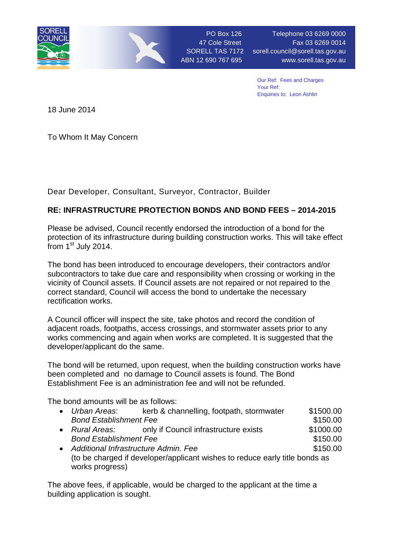

PO Box 126 Telephone 03 6269 0000 47 Cole Street Fax 03 6269 0014 SORELL TAS 7172 sorell.council@sorell.tas.gov.au ABN 12 690 767 695 www.sorell.tas.gov.au

> Our Ref: Fees and Charges Your Ref: Enquiries to: Leon Ashlin

18 June 2014

To Whom It May Concern

Dear Developer, Consultant, Surveyor, Contractor, Builder

## **RE: INFRASTRUCTURE PROTECTION BONDS AND BOND FEES – 2014-2015**

Please be advised, Council recently endorsed the introduction of a bond for the protection of its infrastructure during building construction works. This will take effect  $f$ rom 1st July 2014.

The bond has been introduced to encourage developers, their contractors and/or subcontractors to take due care and responsibility when crossing or working in the vicinity of Council assets. If Council assets are not repaired or not repaired to the correct standard, Council will access the bond to undertake the necessary rectification works.

A Council officer will inspect the site, take photos and record the condition of adjacent roads, footpaths, access crossings, and stormwater assets prior to any works commencing and again when works are completed. It is suggested that the developer/applicant do the same.

The bond will be returned, upon request, when the building construction works have been completed and no damage to Council assets is found. The Bond Establishment Fee is an administration fee and will not be refunded.

The bond amounts will be as follows:

| $\bullet$ | Urban Areas:                                                                | kerb & channelling, footpath, stormwater | \$1500.00 |
|-----------|-----------------------------------------------------------------------------|------------------------------------------|-----------|
|           | <b>Bond Establishment Fee</b>                                               |                                          | \$150.00  |
| $\bullet$ | Rural Areas:                                                                | only if Council infrastructure exists    | \$1000.00 |
|           | <b>Bond Establishment Fee</b>                                               |                                          | \$150.00  |
| $\bullet$ | Additional Infrastructure Admin. Fee                                        |                                          | \$150.00  |
|           | (to be charged if developer/applicant wishes to reduce early title bonds as |                                          |           |
|           | works progress)                                                             |                                          |           |

The above fees, if applicable, would be charged to the applicant at the time a building application is sought.